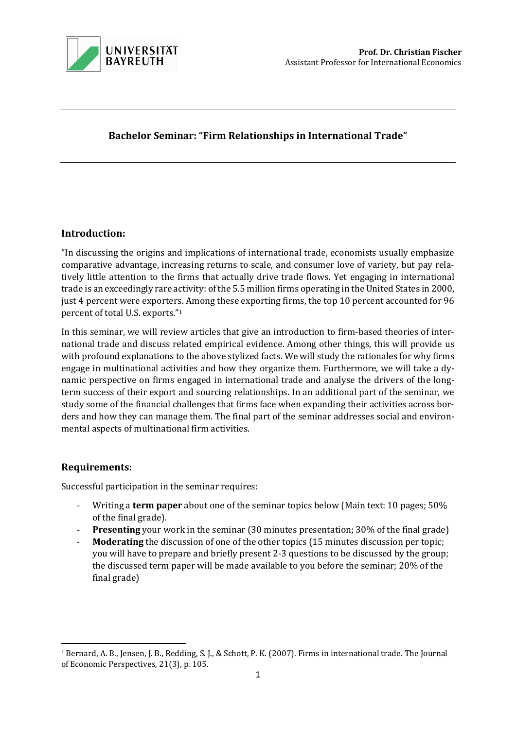

# Bachelor Seminar: "Firm Relationships in International Trade"

# Introduction:

"In discussing the origins and implications of international trade, economists usually emphasize comparative advantage, increasing returns to scale, and consumer love of variety, but pay relatively little attention to the firms that actually drive trade flows. Yet engaging in international trade is an exceedingly rare activity: of the 5.5 million firms operating in the United States in 2000, just 4 percent were exporters. Among these exporting firms, the top 10 percent accounted for 96 percent of total U.S. exports."<sup>1</sup>

In this seminar, we will review articles that give an introduction to firm-based theories of international trade and discuss related empirical evidence. Among other things, this will provide us with profound explanations to the above stylized facts. We will study the rationales for why firms engage in multinational activities and how they organize them. Furthermore, we will take a dynamic perspective on firms engaged in international trade and analyse the drivers of the longterm success of their export and sourcing relationships. In an additional part of the seminar, we study some of the financial challenges that firms face when expanding their activities across borders and how they can manage them. The final part of the seminar addresses social and environmental aspects of multinational firm activities.

## Requirements:

Successful participation in the seminar requires:

- Writing a term paper about one of the seminar topics below (Main text: 10 pages; 50% of the final grade).
- **Presenting** your work in the seminar (30 minutes presentation; 30% of the final grade)
- **Moderating** the discussion of one of the other topics (15 minutes discussion per topic; you will have to prepare and briefly present 2-3 questions to be discussed by the group; the discussed term paper will be made available to you before the seminar; 20% of the final grade)

 $\overline{a}$ <sup>1</sup> Bernard, A. B., Jensen, J. B., Redding, S. J., & Schott, P. K. (2007). Firms in international trade. The Journal of Economic Perspectives, 21(3), p. 105.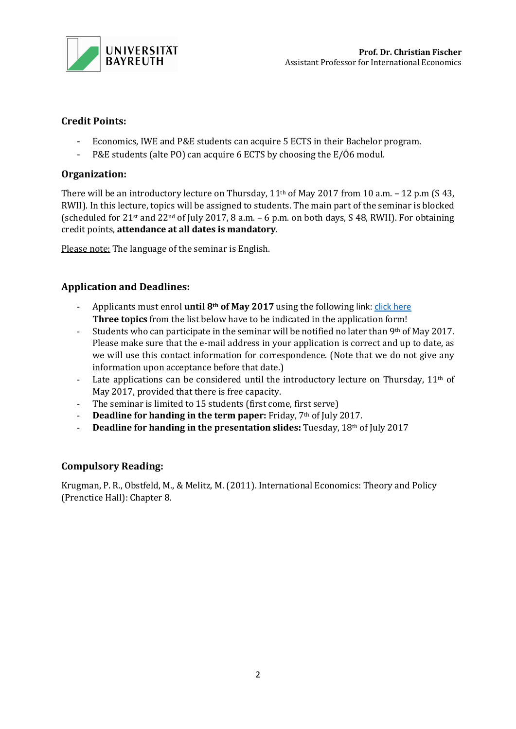

# Credit Points:

- Economics, IWE and P&E students can acquire 5 ECTS in their Bachelor program.
- P&E students (alte PO) can acquire 6 ECTS by choosing the E/Ö6 modul.

# Organization:

There will be an introductory lecture on Thursday, 11<sup>th</sup> of May 2017 from 10 a.m. - 12 p.m (S 43, RWII). In this lecture, topics will be assigned to students. The main part of the seminar is blocked (scheduled for 21<sup>st</sup> and 22<sup>nd</sup> of July 2017, 8 a.m.  $-6$  p.m. on both days, S 48, RWII). For obtaining credit points, attendance at all dates is mandatory.

Please note: The language of the seminar is English.

# Application and Deadlines:

- Applicants must enrol **until 8th of May 2017** using the following link: click here Three topics from the list below have to be indicated in the application form!
- Students who can participate in the seminar will be notified no later than  $9<sup>th</sup>$  of May 2017. Please make sure that the e-mail address in your application is correct and up to date, as we will use this contact information for correspondence. (Note that we do not give any information upon acceptance before that date.)
- Late applications can be considered until the introductory lecture on Thursday, 11<sup>th</sup> of May 2017, provided that there is free capacity.
- The seminar is limited to 15 students (first come, first serve)
- Deadline for handing in the term paper: Friday, 7<sup>th</sup> of July 2017.
- Deadline for handing in the presentation slides: Tuesday,  $18<sup>th</sup>$  of July 2017

## Compulsory Reading:

Krugman, P. R., Obstfeld, M., & Melitz, M. (2011). International Economics: Theory and Policy (Prenctice Hall): Chapter 8.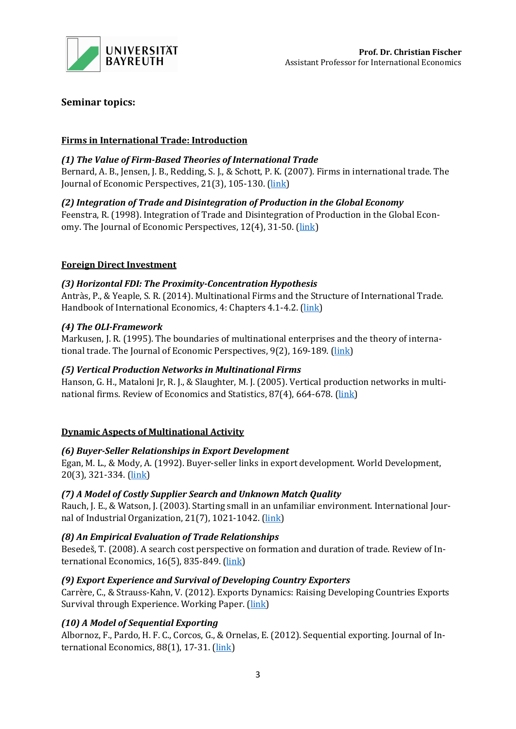

# Seminar topics:

## Firms in International Trade: Introduction

## (1) The Value of Firm-Based Theories of International Trade

Bernard, A. B., Jensen, J. B., Redding, S. J., & Schott, P. K. (2007). Firms in international trade. The Journal of Economic Perspectives, 21(3), 105-130. (link)

# (2) Integration of Trade and Disintegration of Production in the Global Economy

Feenstra, R. (1998). Integration of Trade and Disintegration of Production in the Global Economy. The Journal of Economic Perspectives, 12(4), 31-50. (link)

## Foreign Direct Investment

## (3) Horizontal FDI: The Proximity-Concentration Hypothesis

Antràs, P., & Yeaple, S. R. (2014). Multinational Firms and the Structure of International Trade. Handbook of International Economics, 4: Chapters 4.1-4.2. (link)

## (4) The OLI-Framework

Markusen, J. R. (1995). The boundaries of multinational enterprises and the theory of international trade. The Journal of Economic Perspectives, 9(2), 169-189. (link)

## (5) Vertical Production Networks in Multinational Firms

Hanson, G. H., Mataloni Jr, R. J., & Slaughter, M. J. (2005). Vertical production networks in multinational firms. Review of Economics and Statistics, 87(4), 664-678. (link)

## Dynamic Aspects of Multinational Activity

## (6) Buyer-Seller Relationships in Export Development

Egan, M. L., & Mody, A. (1992). Buyer-seller links in export development. World Development, 20(3), 321-334. (link)

## (7) A Model of Costly Supplier Search and Unknown Match Quality

Rauch, J. E., & Watson, J. (2003). Starting small in an unfamiliar environment. International Journal of Industrial Organization, 21(7), 1021-1042. (link)

## (8) An Empirical Evaluation of Trade Relationships

Besedeš, T. (2008). A search cost perspective on formation and duration of trade. Review of International Economics, 16(5), 835-849. (link)

## (9) Export Experience and Survival of Developing Country Exporters

Carrère, C., & Strauss-Kahn, V. (2012). Exports Dynamics: Raising Developing Countries Exports Survival through Experience. Working Paper. (link)

# (10) A Model of Sequential Exporting

Albornoz, F., Pardo, H. F. C., Corcos, G., & Ornelas, E. (2012). Sequential exporting. Journal of International Economics, 88(1), 17-31. (link)